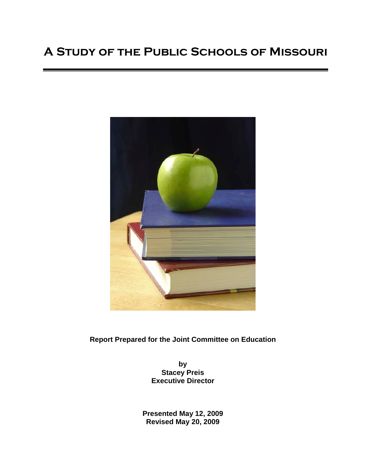# **A Study of the Public Schools of Missouri**



**Report Prepared for the Joint Committee on Education**

**by Stacey Preis Executive Director**

**Presented May 12, 2009 Revised May 20, 2009**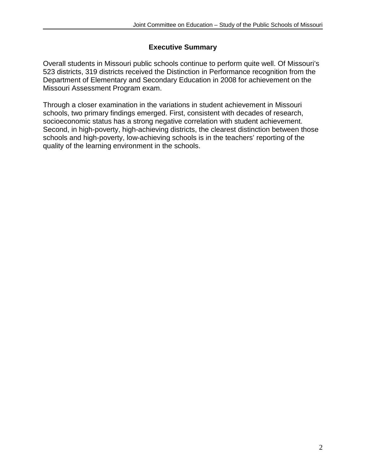# **Executive Summary**

Overall students in Missouri public schools continue to perform quite well. Of Missouri's 523 districts, 319 districts received the Distinction in Performance recognition from the Department of Elementary and Secondary Education in 2008 for achievement on the Missouri Assessment Program exam.

Through a closer examination in the variations in student achievement in Missouri schools, two primary findings emerged. First, consistent with decades of research, socioeconomic status has a strong negative correlation with student achievement. Second, in high-poverty, high-achieving districts, the clearest distinction between those schools and high-poverty, low-achieving schools is in the teachers' reporting of the quality of the learning environment in the schools.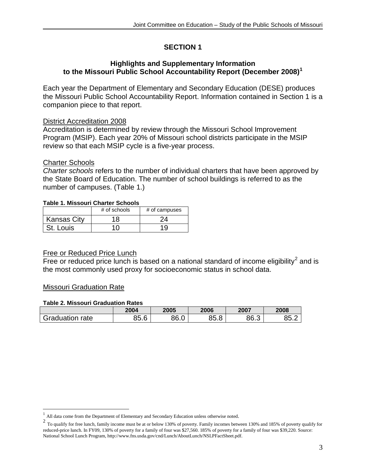# **SECTION 1**

## **Highlights and Supplementary Information to the Missouri Public School Accountability Report (December 2008)[1](#page-2-0)**

Each year the Department of Elementary and Secondary Education (DESE) produces the Missouri Public School Accountability Report. Information contained in Section 1 is a companion piece to that report.

# District Accreditation 2008

Accreditation is determined by review through the Missouri School Improvement Program (MSIP). Each year 20% of Missouri school districts participate in the MSIP review so that each MSIP cycle is a five-year process.

## Charter Schools

*Charter schools* refers to the number of individual charters that have been approved by the State Board of Education. The number of school buildings is referred to as the number of campuses. (Table 1.)

#### **Table 1. Missouri Charter Schools**

|                    | $#$ of schools | # of campuses |
|--------------------|----------------|---------------|
| <b>Kansas City</b> | ' 8            | 14            |
| St. Louis          |                |               |

## Free or Reduced Price Lunch

Free or reduced price lunch is based on a national standard of income eligibility<sup>[2](#page-2-1)</sup> and is the most commonly used proxy for socioeconomic status in school data.

## Missouri Graduation Rate

#### **Table 2. Missouri Graduation Rates**

|                 | 2004                       | 2005 | 2006            | 2007 | 2008       |
|-----------------|----------------------------|------|-----------------|------|------------|
| Graduation rate | $\sim$<br>ה י<br>ĥ<br>ט.טכ | 86.0 | Ω<br>3Ľ.<br>∪.∪ | 86.3 | OE<br>◡◡.∠ |

<span id="page-2-0"></span><sup>&</sup>lt;sup>1</sup> All data come from the Department of Elementary and Secondary Education unless otherwise noted.<br><sup>2</sup> Terms life for first langle family in some number to the latent 120% of a superior Family in some a latent

<span id="page-2-1"></span>To qualify for free lunch, family income must be at or below 130% of poverty. Family incomes between 130% and 185% of poverty qualify for reduced-price lunch. In FY09, 130% of poverty for a family of four was \$27,560. 185% of poverty for a family of four was \$39,220. Source: National School Lunch Program, http://www.fns.usda.gov/cnd/Lunch/AboutLunch/NSLPFactSheet.pdf.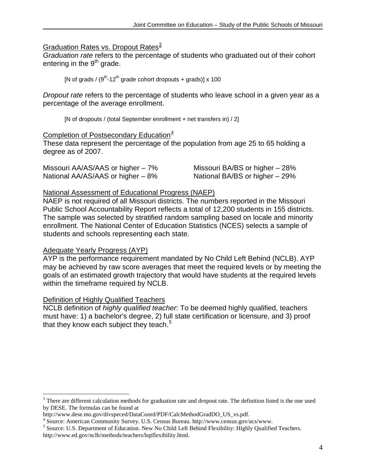# Graduation Rates vs. Dropout Rates<sup>[3](#page-3-0)</sup>

*Graduation rate* refers to the percentage of students who graduated out of their cohort entering in the  $9<sup>th</sup>$  grade.

[N of grads /  $(9<sup>th</sup>-12<sup>th</sup>$  grade cohort dropouts + grads)] x 100

*Dropout rate* refers to the percentage of students who leave school in a given year as a percentage of the average enrollment.

[N of dropouts / (total September enrollment + net transfers in) / 2]

# Completion of Postsecondary Education<sup>[4](#page-3-1)</sup>

These data represent the percentage of the population from age 25 to 65 holding a degree as of 2007.

| Missouri AA/AS/AAS or higher – 7% | Missouri BA/BS or higher - 28% |
|-----------------------------------|--------------------------------|
| National AA/AS/AAS or higher - 8% | National BA/BS or higher - 29% |

#### National Assessment of Educational Progress (NAEP)

NAEP is not required of all Missouri districts. The numbers reported in the Missouri Public School Accountability Report reflects a total of 12,200 students in 155 districts. The sample was selected by stratified random sampling based on locale and minority enrollment. The National Center of Education Statistics (NCES) selects a sample of students and schools representing each state.

## Adequate Yearly Progress (AYP)

AYP is the performance requirement mandated by No Child Left Behind (NCLB). AYP may be achieved by raw score averages that meet the required levels or by meeting the goals of an estimated growth trajectory that would have students at the required levels within the timeframe required by NCLB.

## Definition of Highly Qualified Teachers

NCLB definition of *highly qualified teacher*: To be deemed highly qualified, teachers must have: 1) a bachelor's degree, 2) full state certification or licensure, and 3) proof that they know each subject they teach.<sup>[5](#page-3-2)</sup>

<span id="page-3-0"></span><sup>&</sup>lt;sup>3</sup> There are different calculation methods for graduation rate and dropout rate. The definition listed is the one used by DESE. The formulas can be found at<br>http://www.dese.mo.gov/divspeced/DataCoord/PDF/CalcMethodGradDO US vs.pdf.

<span id="page-3-2"></span><span id="page-3-1"></span><sup>&</sup>lt;sup>4</sup> Source: American Community Survey. U.S. Census Bureau. http://www.census.gov/acs/www.<br><sup>5</sup> Source: U.S. Department of Education. New No Child Left Behind Flexibility: Highly Qualified Teachers. http://www.ed.gov/nclb/methods/teachers/hqtflexibility.html.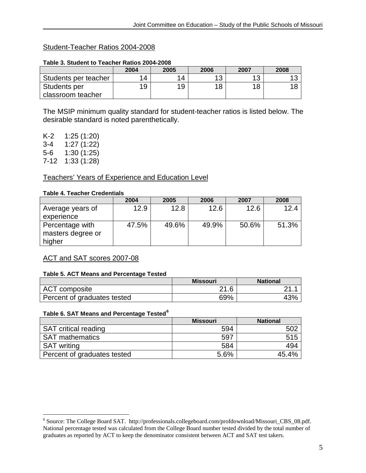# Student-Teacher Ratios 2004-2008

|                      | 2004 | 2005 | 2006 | 2007 | 2008 |
|----------------------|------|------|------|------|------|
| Students per teacher | 14   | 14   | 10   | 12   |      |
| Students per         | 19   | 19   | 18   | 18   |      |
| classroom teacher    |      |      |      |      |      |

#### **Table 3. Student to Teacher Ratios 2004-2008**

The MSIP minimum quality standard for student-teacher ratios is listed below. The desirable standard is noted parenthetically.

K-2 1:25 (1:20) 3-4 1:27 (1:22) 5-6 1:30 (1:25) 7-12 1:33 (1:28)

# Teachers' Years of Experience and Education Level

#### **Table 4. Teacher Credentials**

|                                      | 2004  | 2005  | 2006  | 2007  | 2008  |
|--------------------------------------|-------|-------|-------|-------|-------|
| Average years of                     | 12.9  | 12.8  | 12.6  | 12.6  | 12.4  |
| experience                           |       |       |       |       |       |
| Percentage with<br>masters degree or | 47.5% | 49.6% | 49.9% | 50.6% | 51.3% |
| higher                               |       |       |       |       |       |

# ACT and SAT scores 2007-08

## **Table 5. ACT Means and Percentage Tested**

|                             | Missouri | <b>National</b> |
|-----------------------------|----------|-----------------|
| ACT composite               | 21.6     |                 |
| Percent of graduates tested | 69%      | 43%             |

#### **Table 6. SAT Means and Percentage Tested[6](#page-4-0)**

|                             | <b>Missouri</b> | <b>National</b> |
|-----------------------------|-----------------|-----------------|
| <b>SAT critical reading</b> | 594             |                 |
| <b>SAT mathematics</b>      | 597             |                 |
| <b>SAT</b> writing          | 584             | 494             |
| Percent of graduates tested | 5.6%            | 45.4%           |

<span id="page-4-0"></span> <sup>6</sup> Source: The College Board SAT. http://professionals.collegeboard.com/profdownload/Missouri\_CBS\_08.pdf. National percentage tested was calculated from the College Board number tested divided by the total number of graduates as reported by ACT to keep the denominator consistent between ACT and SAT test takers.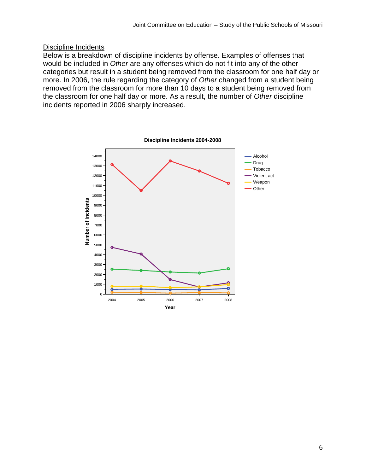# Discipline Incidents

Below is a breakdown of discipline incidents by offense. Examples of offenses that would be included in *Other* are any offenses which do not fit into any of the other categories but result in a student being removed from the classroom for one half day or more. In 2006, the rule regarding the category of *Other* changed from a student being removed from the classroom for more than 10 days to a student being removed from the classroom for one half day or more. As a result, the number of *Other* discipline incidents reported in 2006 sharply increased.

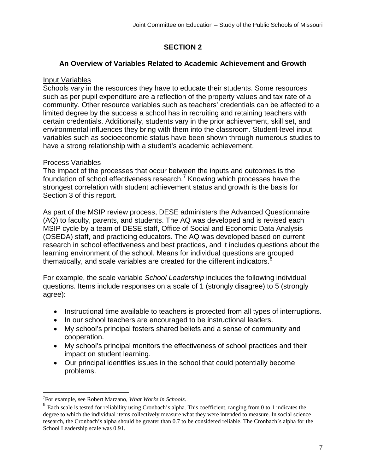# **SECTION 2**

# **An Overview of Variables Related to Academic Achievement and Growth**

# Input Variables

Schools vary in the resources they have to educate their students. Some resources such as per pupil expenditure are a reflection of the property values and tax rate of a community. Other resource variables such as teachers' credentials can be affected to a limited degree by the success a school has in recruiting and retaining teachers with certain credentials. Additionally, students vary in the prior achievement, skill set, and environmental influences they bring with them into the classroom. Student-level input variables such as socioeconomic status have been shown through numerous studies to have a strong relationship with a student's academic achievement.

# Process Variables

The impact of the processes that occur between the inputs and outcomes is the foundation of school effectiveness research.<sup>[7](#page-6-0)</sup> Knowing which processes have the strongest correlation with student achievement status and growth is the basis for Section 3 of this report.

As part of the MSIP review process, DESE administers the Advanced Questionnaire (AQ) to faculty, parents, and students. The AQ was developed and is revised each MSIP cycle by a team of DESE staff, Office of Social and Economic Data Analysis (OSEDA) staff, and practicing educators. The AQ was developed based on current research in school effectiveness and best practices, and it includes questions about the learning environment of the school. Means for individual questions are grouped thematically, and scale variables are created for the different indicators. $8$ 

For example, the scale variable *School Leadership* includes the following individual questions. Items include responses on a scale of 1 (strongly disagree) to 5 (strongly agree):

- Instructional time available to teachers is protected from all types of interruptions.
- In our school teachers are encouraged to be instructional leaders.
- My school's principal fosters shared beliefs and a sense of community and cooperation.
- My school's principal monitors the effectiveness of school practices and their impact on student learning.
- Our principal identifies issues in the school that could potentially become problems.

<sup>-&</sup>lt;br>7

<span id="page-6-1"></span><span id="page-6-0"></span>For example, see Robert Marzano, *What Works in Schools*. <sup>8</sup> Each scale is tested for reliability using Cronbach's alpha. This coefficient, ranging from 0 to 1 indicates the degree to which the individual items collectively measure what they were intended to measure. In social science research, the Cronbach's alpha should be greater than 0.7 to be considered reliable. The Cronbach's alpha for the School Leadership scale was 0.91.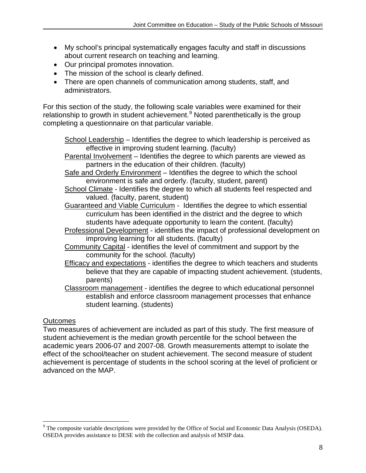- My school's principal systematically engages faculty and staff in discussions about current research on teaching and learning.
- Our principal promotes innovation.
- The mission of the school is clearly defined.
- There are open channels of communication among students, staff, and administrators.

For this section of the study, the following scale variables were examined for their relationship to growth in student achievement.<sup>[9](#page-7-0)</sup> Noted parenthetically is the group completing a questionnaire on that particular variable.

School Leadership – Identifies the degree to which leadership is perceived as effective in improving student learning. (faculty)

Parental Involvement – Identifies the degree to which parents are viewed as partners in the education of their children. (faculty)

Safe and Orderly Environment – Identifies the degree to which the school environment is safe and orderly. (faculty, student, parent)

- School Climate Identifies the degree to which all students feel respected and valued. (faculty, parent, student)
- Guaranteed and Viable Curriculum Identifies the degree to which essential curriculum has been identified in the district and the degree to which students have adequate opportunity to learn the content. (faculty)
- Professional Development identifies the impact of professional development on improving learning for all students. (faculty)
- Community Capital identifies the level of commitment and support by the community for the school. (faculty)
- Efficacy and expectations identifies the degree to which teachers and students believe that they are capable of impacting student achievement. (students, parents)
- Classroom management identifies the degree to which educational personnel establish and enforce classroom management processes that enhance student learning. (students)

# **Outcomes**

Two measures of achievement are included as part of this study. The first measure of student achievement is the median growth percentile for the school between the academic years 2006-07 and 2007-08. Growth measurements attempt to isolate the effect of the school/teacher on student achievement. The second measure of student achievement is percentage of students in the school scoring at the level of proficient or advanced on the MAP.

<span id="page-7-0"></span> $9$  The composite variable descriptions were provided by the Office of Social and Economic Data Analysis (OSEDA). OSEDA provides assistance to DESE with the collection and analysis of MSIP data.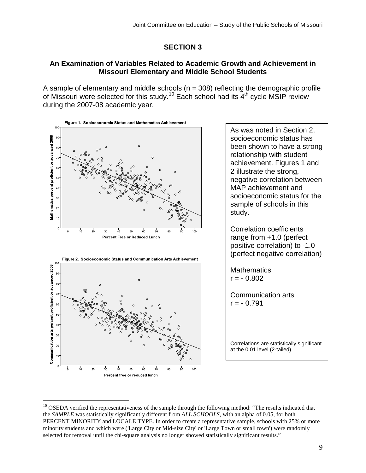# **SECTION 3**

# **An Examination of Variables Related to Academic Growth and Achievement in Missouri Elementary and Middle School Students**

A sample of elementary and middle schools ( $n = 308$ ) reflecting the demographic profile of Missouri were selected for this study.<sup>[10](#page-8-0)</sup> Each school had its  $4<sup>th</sup>$  cycle MSIP review during the 2007-08 academic year.



As was noted in Section 2, socioeconomic status has been shown to have a strong relationship with student achievement. Figures 1 and 2 illustrate the strong, negative correlation between MAP achievement and socioeconomic status for the sample of schools in this study.

Correlation coefficients range from +1.0 (perfect positive correlation) to -1.0 (perfect negative correlation)

**Mathematics**  $r = -0.802$ 

Communication arts  $r = -0.791$ 

Correlations are statistically significant at the 0.01 level (2-tailed).

<span id="page-8-0"></span><sup>&</sup>lt;sup>10</sup> OSEDA verified the representativeness of the sample through the following method: "The results indicated that the *SAMPLE* was statistically significantly different from *ALL SCHOOLS*, with an alpha of 0.05, for both PERCENT MINORITY and LOCALE TYPE. In order to create a representative sample, schools with 25% or more minority students and which were ('Large City or Mid-size City' or 'Large Town or small town') were randomly selected for removal until the chi-square analysis no longer showed statistically significant results."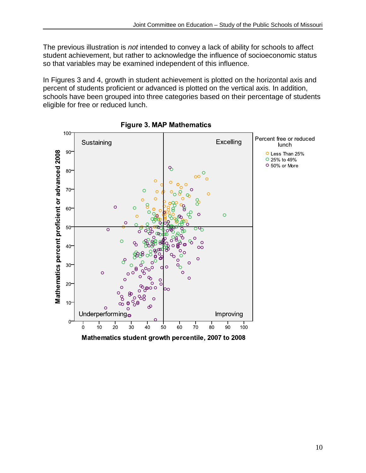The previous illustration is *not* intended to convey a lack of ability for schools to affect student achievement, but rather to acknowledge the influence of socioeconomic status so that variables may be examined independent of this influence.

In Figures 3 and 4, growth in student achievement is plotted on the horizontal axis and percent of students proficient or advanced is plotted on the vertical axis. In addition, schools have been grouped into three categories based on their percentage of students eligible for free or reduced lunch.



**Figure 3. MAP Mathematics**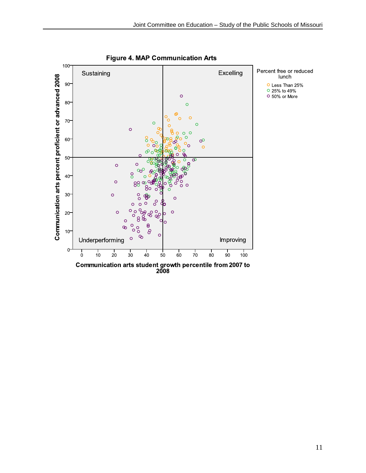

**Figure 4. MAP Communication Arts**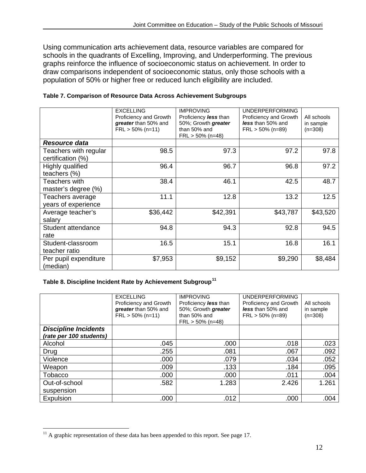Using communication arts achievement data, resource variables are compared for schools in the quadrants of Excelling, Improving, and Underperforming. The previous graphs reinforce the influence of socioeconomic status on achievement. In order to draw comparisons independent of socioeconomic status, only those schools with a population of 50% or higher free or reduced lunch eligibility are included.

|                                            | <b>EXCELLING</b><br>Proficiency and Growth<br>greater than 50% and<br>$FRL > 50\%$ (n=11) | <b>IMPROVING</b><br>Proficiency less than<br>50%; Growth greater<br>than 50% and<br>$FRL > 50\% (n=48)$ | <b>UNDERPERFORMING</b><br>Proficiency and Growth<br>less than 50% and<br>$FRL > 50\%$ (n=89) | All schools<br>in sample<br>$(n=308)$ |
|--------------------------------------------|-------------------------------------------------------------------------------------------|---------------------------------------------------------------------------------------------------------|----------------------------------------------------------------------------------------------|---------------------------------------|
| Resource data                              |                                                                                           |                                                                                                         |                                                                                              |                                       |
| Teachers with regular<br>certification (%) | 98.5                                                                                      | 97.3                                                                                                    | 97.2                                                                                         | 97.8                                  |
| Highly qualified<br>teachers (%)           | 96.4                                                                                      | 96.7                                                                                                    | 96.8                                                                                         | 97.2                                  |
| Teachers with<br>master's degree (%)       | 38.4                                                                                      | 46.1                                                                                                    | 42.5                                                                                         | 48.7                                  |
| Teachers average<br>years of experience    | 11.1                                                                                      | 12.8                                                                                                    | 13.2                                                                                         | 12.5                                  |
| Average teacher's<br>salary                | \$36,442                                                                                  | \$42,391                                                                                                | \$43,787                                                                                     | \$43,520                              |
| Student attendance<br>rate                 | 94.8                                                                                      | 94.3                                                                                                    | 92.8                                                                                         | 94.5                                  |
| Student-classroom<br>teacher ratio         | 16.5                                                                                      | 15.1                                                                                                    | 16.8                                                                                         | 16.1                                  |
| Per pupil expenditure<br>(median)          | \$7,953                                                                                   | \$9,152                                                                                                 | \$9,290                                                                                      | \$8,484                               |

#### **Table 7. Comparison of Resource Data Across Achievement Subgroups**

# **Table 8. Discipline Incident Rate by Achievement Subgroup[11](#page-11-0)**

|                                                        | <b>EXCELLING</b><br>Proficiency and Growth<br>greater than 50% and<br>$FRL > 50\%$ (n=11) | <b>IMPROVING</b><br>Proficiency less than<br>50%; Growth greater<br>than 50% and<br>$FRL > 50\%$ (n=48) | <b>UNDERPERFORMING</b><br>Proficiency and Growth<br>less than 50% and<br>$FRL > 50\%$ (n=89) | All schools<br>in sample<br>$(n=308)$ |
|--------------------------------------------------------|-------------------------------------------------------------------------------------------|---------------------------------------------------------------------------------------------------------|----------------------------------------------------------------------------------------------|---------------------------------------|
| <b>Discipline Incidents</b><br>(rate per 100 students) |                                                                                           |                                                                                                         |                                                                                              |                                       |
| Alcohol                                                | .045                                                                                      | .000                                                                                                    | .018                                                                                         | .023                                  |
| Drug                                                   | .255                                                                                      | .081                                                                                                    | .067                                                                                         | .092                                  |
| Violence                                               | .000                                                                                      | .079                                                                                                    | .034                                                                                         | .052                                  |
| Weapon                                                 | .009                                                                                      | .133                                                                                                    | .184                                                                                         | .095                                  |
| Tobacco                                                | .000                                                                                      | .000                                                                                                    | .011                                                                                         | .004                                  |
| Out-of-school                                          | .582                                                                                      | 1.283                                                                                                   | 2.426                                                                                        | 1.261                                 |
| suspension                                             |                                                                                           |                                                                                                         |                                                                                              |                                       |
| Expulsion                                              | .000                                                                                      | .012                                                                                                    | .000                                                                                         | .004                                  |

<span id="page-11-0"></span> $11$  A graphic representation of these data has been appended to this report. See page 17.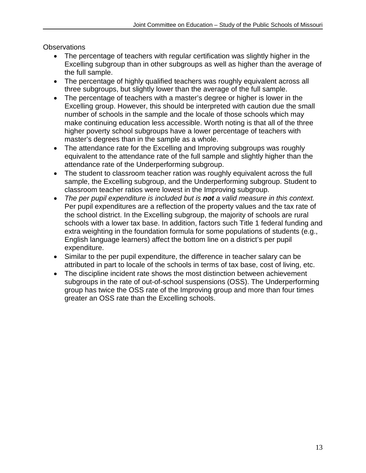**Observations** 

- The percentage of teachers with regular certification was slightly higher in the Excelling subgroup than in other subgroups as well as higher than the average of the full sample.
- The percentage of highly qualified teachers was roughly equivalent across all three subgroups, but slightly lower than the average of the full sample.
- The percentage of teachers with a master's degree or higher is lower in the Excelling group. However, this should be interpreted with caution due the small number of schools in the sample and the locale of those schools which may make continuing education less accessible. Worth noting is that all of the three higher poverty school subgroups have a lower percentage of teachers with master's degrees than in the sample as a whole.
- The attendance rate for the Excelling and Improving subgroups was roughly equivalent to the attendance rate of the full sample and slightly higher than the attendance rate of the Underperforming subgroup.
- The student to classroom teacher ration was roughly equivalent across the full sample, the Excelling subgroup, and the Underperforming subgroup. Student to classroom teacher ratios were lowest in the Improving subgroup.
- The per pupil expenditure is included but is **not** a valid measure in this context. Per pupil expenditures are a reflection of the property values and the tax rate of the school district. In the Excelling subgroup, the majority of schools are rural schools with a lower tax base. In addition, factors such Title 1 federal funding and extra weighting in the foundation formula for some populations of students (e.g., English language learners) affect the bottom line on a district's per pupil expenditure.
- Similar to the per pupil expenditure, the difference in teacher salary can be attributed in part to locale of the schools in terms of tax base, cost of living, etc.
- The discipline incident rate shows the most distinction between achievement subgroups in the rate of out-of-school suspensions (OSS). The Underperforming group has twice the OSS rate of the Improving group and more than four times greater an OSS rate than the Excelling schools.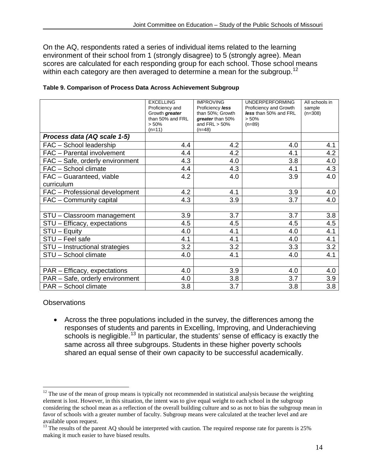On the AQ, respondents rated a series of individual items related to the learning environment of their school from 1 (strongly disagree) to 5 (strongly agree). Mean scores are calculated for each responding group for each school. Those school means within each category are then averaged to determine a mean for the subgroup.<sup>[12](#page-13-0)</sup>

|                                        | <b>EXCELLING</b><br>Proficiency and<br>Growth greater<br>than 50% and FRL<br>> 50%<br>$(n=11)$ | <b>IMPROVING</b><br>Proficiency less<br>than 50%; Growth<br>greater than 50%<br>and $FRL > 50\%$<br>$(n=48)$ | <b>UNDERPERFORMING</b><br>Proficiency and Growth<br>less than 50% and FRL<br>> 50%<br>$(n=89)$ | All schools in<br>sample<br>$(n=308)$ |
|----------------------------------------|------------------------------------------------------------------------------------------------|--------------------------------------------------------------------------------------------------------------|------------------------------------------------------------------------------------------------|---------------------------------------|
| Process data (AQ scale 1-5)            |                                                                                                |                                                                                                              |                                                                                                |                                       |
| FAC - School leadership                | 4.4                                                                                            | 4.2                                                                                                          | 4.0                                                                                            | 4.1                                   |
| FAC - Parental involvement             | 4.4                                                                                            | 4.2                                                                                                          | 4.1                                                                                            | 4.2                                   |
| FAC - Safe, orderly environment        | 4.3                                                                                            | 4.0                                                                                                          | 3.8                                                                                            | 4.0                                   |
| FAC - School climate                   | 4.4                                                                                            | 4.3                                                                                                          | 4.1                                                                                            | 4.3                                   |
| FAC - Guaranteed, viable<br>curriculum | 4.2                                                                                            | 4.0                                                                                                          | 3.9                                                                                            | 4.0                                   |
| FAC - Professional development         | 4.2                                                                                            | 4.1                                                                                                          | 3.9                                                                                            | 4.0                                   |
| FAC - Community capital                | 4.3                                                                                            | 3.9                                                                                                          | 3.7                                                                                            | 4.0                                   |
|                                        |                                                                                                |                                                                                                              |                                                                                                |                                       |
| STU - Classroom management             | 3.9                                                                                            | 3.7                                                                                                          | 3.7                                                                                            | 3.8                                   |
| STU - Efficacy, expectations           | 4.5                                                                                            | 4.5                                                                                                          | 4.5                                                                                            | 4.5                                   |
| $STU - Equity$                         | 4.0                                                                                            | 4.1                                                                                                          | 4.0                                                                                            | 4.1                                   |
| STU - Feel safe                        | 4.1                                                                                            | 4.1                                                                                                          | 4.0                                                                                            | 4.1                                   |
| STU - Instructional strategies         | 3.2                                                                                            | 3.2                                                                                                          | 3.3                                                                                            | 3.2                                   |
| STU - School climate                   | 4.0                                                                                            | 4.1                                                                                                          | 4.0                                                                                            | 4.1                                   |
|                                        |                                                                                                |                                                                                                              |                                                                                                |                                       |
| PAR - Efficacy, expectations           | 4.0                                                                                            | 3.9                                                                                                          | 4.0                                                                                            | 4.0                                   |
| PAR - Safe, orderly environment        | 4.0                                                                                            | 3.8                                                                                                          | 3.7                                                                                            | 3.9                                   |
| PAR - School climate                   | 3.8                                                                                            | 3.7                                                                                                          | 3.8                                                                                            | 3.8                                   |

| Table 9. Comparison of Process Data Across Achievement Subgroup |  |  |
|-----------------------------------------------------------------|--|--|
|                                                                 |  |  |

## **Observations**

• Across the three populations included in the survey, the differences among the responses of students and parents in Excelling, Improving, and Underachieving schools is negligible.<sup>[13](#page-13-1)</sup> In particular, the students' sense of efficacy is exactly the same across all three subgroups. Students in these higher poverty schools shared an equal sense of their own capacity to be successful academically.

<span id="page-13-0"></span> $12$  The use of the mean of group means is typically not recommended in statistical analysis because the weighting element is lost. However, in this situation, the intent was to give equal weight to each school in the subgroup considering the school mean as a reflection of the overall building culture and so as not to bias the subgroup mean in favor of schools with a greater number of faculty. Subgroup means were calculated at the teacher level and are

<span id="page-13-1"></span><sup>&</sup>lt;sup>13</sup> The results of the parent AQ should be interpreted with caution. The required response rate for parents is 25% making it much easier to have biased results.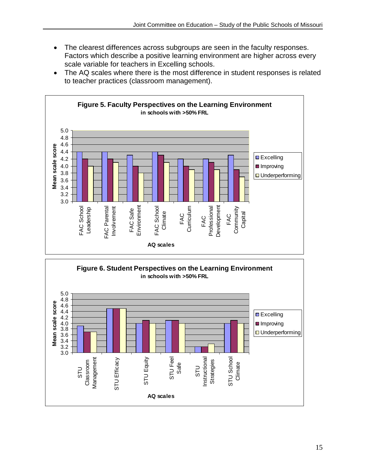- The clearest differences across subgroups are seen in the faculty responses. Factors which describe a positive learning environment are higher across every scale variable for teachers in Excelling schools.
- The AQ scales where there is the most difference in student responses is related to teacher practices (classroom management).



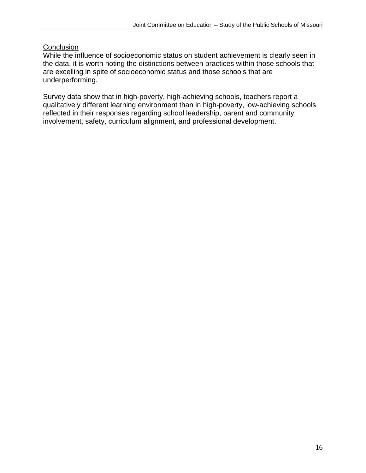# **Conclusion**

While the influence of socioeconomic status on student achievement is clearly seen in the data, it is worth noting the distinctions between practices within those schools that are excelling in spite of socioeconomic status and those schools that are underperforming.

Survey data show that in high-poverty, high-achieving schools, teachers report a qualitatively different learning environment than in high-poverty, low-achieving schools reflected in their responses regarding school leadership, parent and community involvement, safety, curriculum alignment, and professional development.